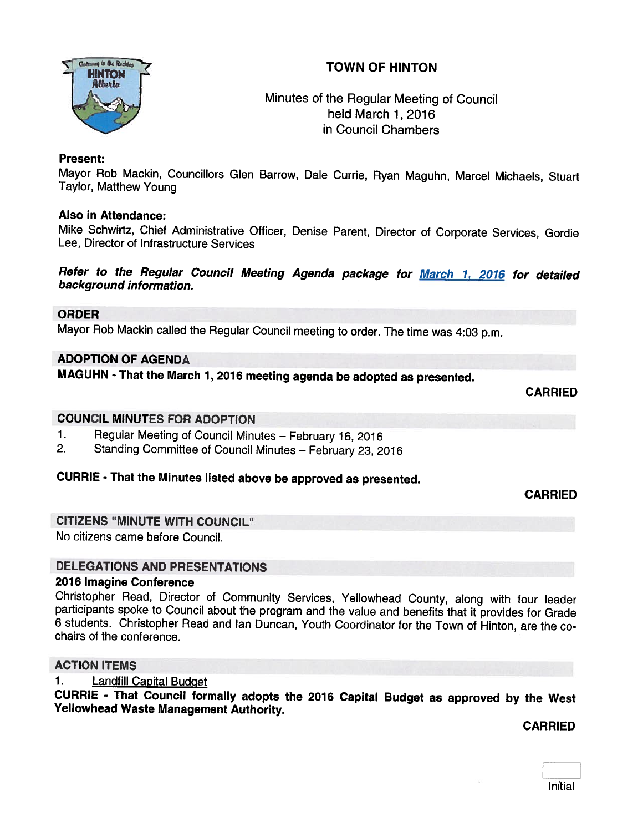



# Minutes of the Regular Meeting of Council held March 1,2016 in Council Chambers

# Present:

Mayor Rob Mackin, Councillors Glen Barrow, Dale Currie, Ryan Maguhn, Marcel Michaels, Stuart Taylor, Matthew Young

# Also in Attendance:

Mike Schwirtz, Chief Administrative Officer, Denise Parent, Director of Corporate Services, Gordie Lee, Director of Infrastructure Services

# Refer to the Regular Council Meeting Agenda package for March 1, 2016 for detailed background information.

# ORDER

Mayor Rob Mackin called the Regular Council meeting to order. The time was 4:03 p.m.

# ADOPTION OF AGENDA

MAGUHN - That the March 1, <sup>2076</sup> meeting agenda be adopted as presented.

CARRIED

# COUNCIL MINUTES FOR ADOPTION

- 1. Regular Meeting of Council Minutes February 16, 2016<br>2. Standing Committee of Council Minutes February 23, 20
- 2. Standing Committee of Council Minutes February 23, <sup>2016</sup>

# CURRIE - That the Minutes listed above be approved as presented.

CARRIED

#### CITIZENS "MINUTE WITH COUNCIL"

No citizens came before Council.

# DELEGATIONS AND PRESENTATIONS

#### 2016 Imagine Conference

Christopher Read, Director of Community Services, Yellowhead County, along with four leader participants spoke to Council about the program and the value and benefits that it provides for Grade 6 students. Christopher Read

# ACTION ITEMS

1. Landfill Capital BudQet

CURRIE - That Council formally adopts the <sup>2076</sup> Capital Budget as approved by the West Yellowhead Waste Management Authority.

CARRIED

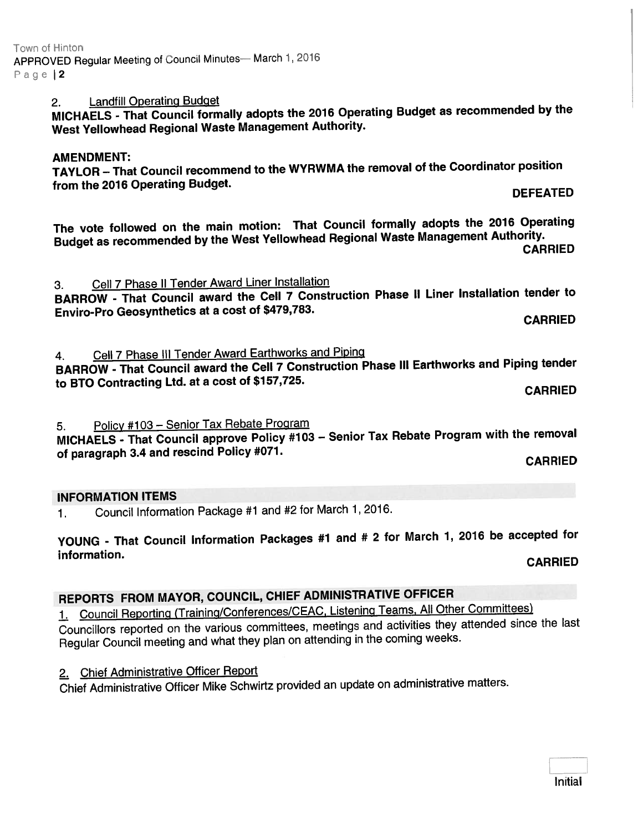# 2. Landfill Operating Budget

MICHAELS - That Council formally adopts the <sup>2016</sup> Operating Budget as recommended by the West Yellowhead Regional Waste Management Authority.

#### AMENDMENT:

TAYLOR — That Council recommend to the WYRWMA the removal of the Coordinator position from the 2016 Operating Budget. The control of the control of the control of the control of the control of the control of the control of the control of the control of the control of the control of the control of the contro

The vote followed on the main motion: That Council formally adopts the <sup>2016</sup> Operating Budget as recommended by the West Yellowhead Regional Waste Management Authority. CARRIED

3. Cell <sup>7</sup> Phase II Tender Award Liner Installation

BARROW - That Council award the Cell <sup>7</sup> Construction Phase II Liner Installation tender to Enviro-Pro Geosynthetics at <sup>a</sup> cost of \$479,783. CARRIED

4. Cell <sup>7</sup> Phase Ill Tender Award Earthworks and Piping BARROW - That Council award the Cell <sup>7</sup> Construction Phase Ill Earthworks and Piping tender to BTO Contracting Ltd. at <sup>a</sup> cost of \$157,725. CARRIED

5. Policy #103 — Senior Tax Rebate Program

MICHAELS - That Council approve Policy #103 — Senior Tax Rebate Program with the removal of paragraph 3.4 and rescind Policy #071. CARRIED

#### INFORMATION ITEMS

1. Council Information Package #1 and #2 for March 1, 2016.

YOUNG - That Council Information Packages #1 and # <sup>2</sup> for March 1, <sup>2076</sup> be accepted for information. CARRIED

# REPORTS FROM MAYOR, COUNCIL, CHIEF ADMINISTRATIVE OFFICER

1. Council Reporting (Training/Conferences/CEAC, Listening Teams, All Other Committees) Councillors reported on the various committees, meetings and activities they attended since the last Regular Council meeting and what they <sup>p</sup>lan on attending in the coming weeks.

2. Chief Administrative Officer Report

Chief Administrative Officer Mike Schwirtz provided an update on administrative matters.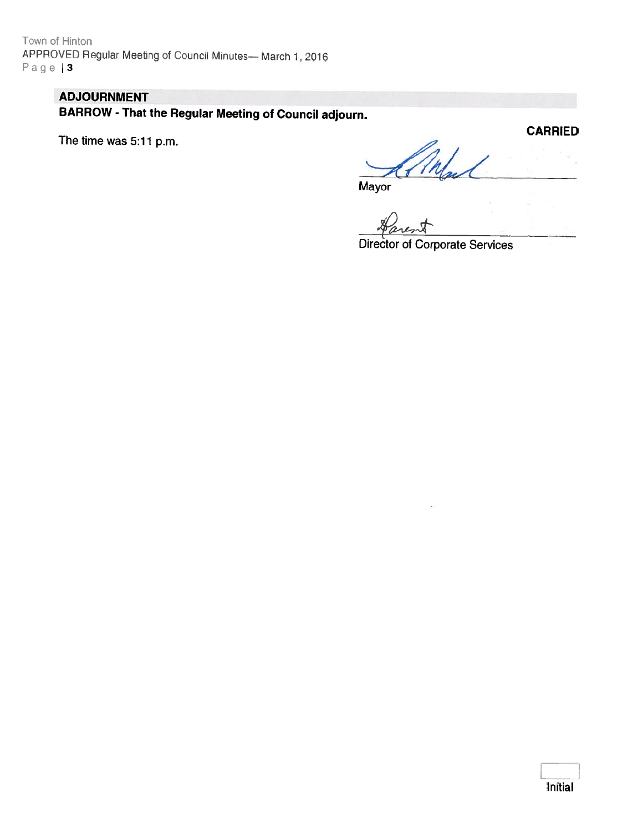Town of Hinton APPROVED Regular Meeting at Council Minutes— March 1,2016  $P$ age | 3

# ADJOURNMENT

BARROW -That the Regular Meeting of Council adjourn.

The time was 5:11 p.m.

**CARRIED** Try

**Mayor** 

Director of Corporate Services